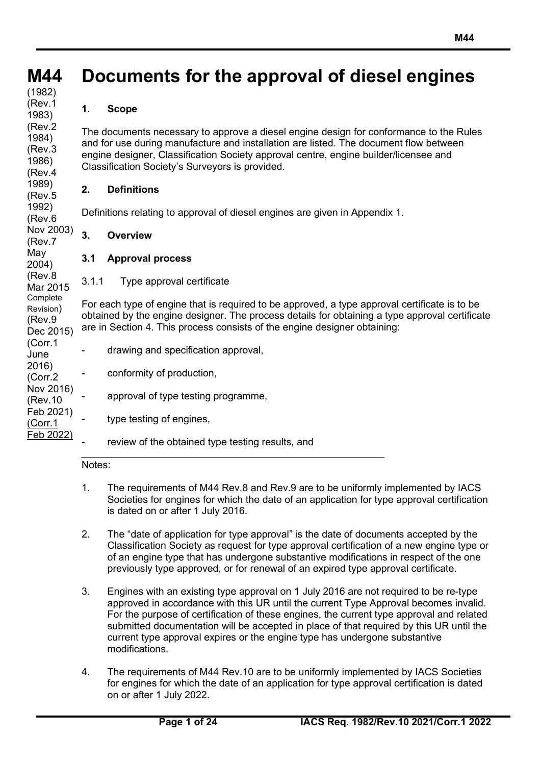## **M44 Documents for the approval of diesel engines**

#### **(cont)** (1982) (Rev.1 1983) (Rev.2 1984) (Rev.3 1986) (Rev.4 1989) (Rev.5 1992) (Rev.6 Nov 2003) (Rev.7 May 2004) (Rev.8 Mar 2015 **Complete** Revision) (Rev.9 Dec 2015) (Corr.1 June 2016) (Corr.2 Nov 2016) (Rev.10 Feb 2021) (Corr.1 Feb 2022)

## **1. Scope**

The documents necessary to approve a diesel engine design for conformance to the Rules and for use during manufacture and installation are listed. The document flow between engine designer, Classification Society approval centre, engine builder/licensee and Classification Society's Surveyors is provided.

## **2. Definitions**

Definitions relating to approval of diesel engines are given in Appendix 1.

## **3. Overview**

## **3.1 Approval process**

3.1.1 Type approval certificate

For each type of engine that is required to be approved, a type approval certificate is to be obtained by the engine designer. The process details for obtaining a type approval certificate are in Section 4. This process consists of the engine designer obtaining:

- drawing and specification approval,
	- conformity of production,

## approval of type testing programme,

- type testing of engines,
	- review of the obtained type testing results, and

### Notes:

- 1. The requirements of M44 Rev.8 and Rev.9 are to be uniformly implemented by IACS Societies for engines for which the date of an application for type approval certification is dated on or after 1 July 2016.
- 2. The "date of application for type approval" is the date of documents accepted by the Classification Society as request for type approval certification of a new engine type or of an engine type that has undergone substantive modifications in respect of the one previously type approved, or for renewal of an expired type approval certificate.
- 3. Engines with an existing type approval on 1 July 2016 are not required to be re-type approved in accordance with this UR until the current Type Approval becomes invalid. For the purpose of certification of these engines, the current type approval and related submitted documentation will be accepted in place of that required by this UR until the current type approval expires or the engine type has undergone substantive modifications.
- 4. The requirements of M44 Rev.10 are to be uniformly implemented by IACS Societies for engines for which the date of an application for type approval certification is dated on or after 1 July 2022.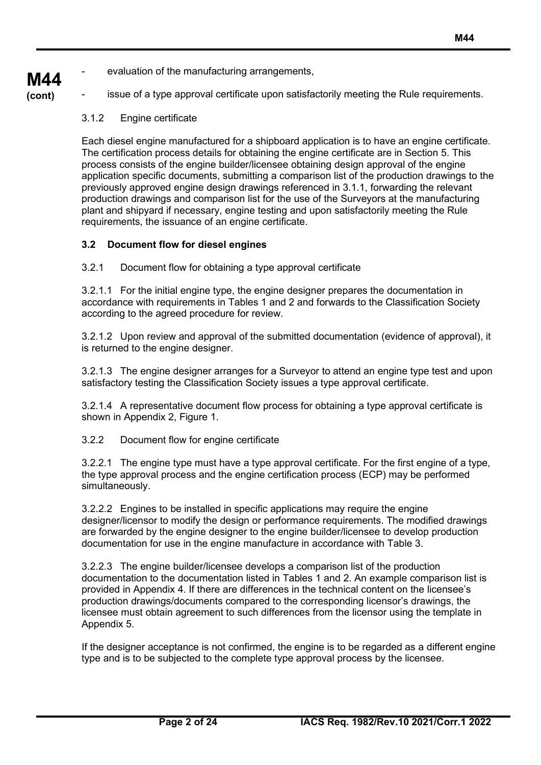evaluation of the manufacturing arrangements,

**M44 (cont)**

issue of a type approval certificate upon satisfactorily meeting the Rule requirements.

3.1.2 Engine certificate

Each diesel engine manufactured for a shipboard application is to have an engine certificate. The certification process details for obtaining the engine certificate are in Section 5. This process consists of the engine builder/licensee obtaining design approval of the engine application specific documents, submitting a comparison list of the production drawings to the previously approved engine design drawings referenced in 3.1.1, forwarding the relevant production drawings and comparison list for the use of the Surveyors at the manufacturing plant and shipyard if necessary, engine testing and upon satisfactorily meeting the Rule requirements, the issuance of an engine certificate.

## **3.2 Document flow for diesel engines**

3.2.1 Document flow for obtaining a type approval certificate

3.2.1.1 For the initial engine type, the engine designer prepares the documentation in accordance with requirements in Tables 1 and 2 and forwards to the Classification Society according to the agreed procedure for review.

3.2.1.2 Upon review and approval of the submitted documentation (evidence of approval), it is returned to the engine designer.

3.2.1.3 The engine designer arranges for a Surveyor to attend an engine type test and upon satisfactory testing the Classification Society issues a type approval certificate.

3.2.1.4 A representative document flow process for obtaining a type approval certificate is shown in Appendix 2, Figure 1.

3.2.2 Document flow for engine certificate

3.2.2.1 The engine type must have a type approval certificate. For the first engine of a type, the type approval process and the engine certification process (ECP) may be performed simultaneously.

3.2.2.2 Engines to be installed in specific applications may require the engine designer/licensor to modify the design or performance requirements. The modified drawings are forwarded by the engine designer to the engine builder/licensee to develop production documentation for use in the engine manufacture in accordance with Table 3.

3.2.2.3 The engine builder/licensee develops a comparison list of the production documentation to the documentation listed in Tables 1 and 2. An example comparison list is provided in Appendix 4. If there are differences in the technical content on the licensee's production drawings/documents compared to the corresponding licensor's drawings, the licensee must obtain agreement to such differences from the licensor using the template in Appendix 5.

If the designer acceptance is not confirmed, the engine is to be regarded as a different engine type and is to be subjected to the complete type approval process by the licensee.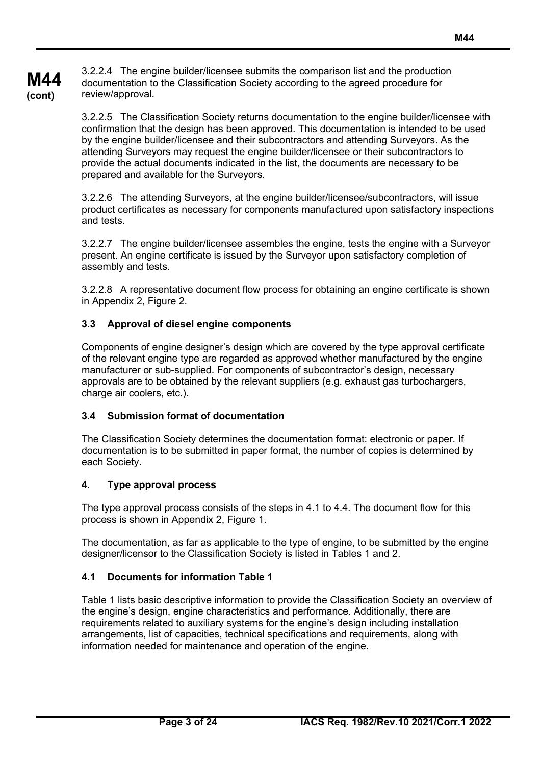**M44 (cont)** 3.2.2.4 The engine builder/licensee submits the comparison list and the production documentation to the Classification Society according to the agreed procedure for review/approval.

> 3.2.2.5 The Classification Society returns documentation to the engine builder/licensee with confirmation that the design has been approved. This documentation is intended to be used by the engine builder/licensee and their subcontractors and attending Surveyors. As the attending Surveyors may request the engine builder/licensee or their subcontractors to provide the actual documents indicated in the list, the documents are necessary to be prepared and available for the Surveyors.

> 3.2.2.6 The attending Surveyors, at the engine builder/licensee/subcontractors, will issue product certificates as necessary for components manufactured upon satisfactory inspections and tests.

> 3.2.2.7 The engine builder/licensee assembles the engine, tests the engine with a Surveyor present. An engine certificate is issued by the Surveyor upon satisfactory completion of assembly and tests.

> 3.2.2.8 A representative document flow process for obtaining an engine certificate is shown in Appendix 2, Figure 2.

## **3.3 Approval of diesel engine components**

Components of engine designer's design which are covered by the type approval certificate of the relevant engine type are regarded as approved whether manufactured by the engine manufacturer or sub-supplied. For components of subcontractor's design, necessary approvals are to be obtained by the relevant suppliers (e.g. exhaust gas turbochargers, charge air coolers, etc.).

### **3.4 Submission format of documentation**

The Classification Society determines the documentation format: electronic or paper. If documentation is to be submitted in paper format, the number of copies is determined by each Society.

## **4. Type approval process**

The type approval process consists of the steps in 4.1 to 4.4. The document flow for this process is shown in Appendix 2, Figure 1.

The documentation, as far as applicable to the type of engine, to be submitted by the engine designer/licensor to the Classification Society is listed in Tables 1 and 2.

## **4.1 Documents for information Table 1**

Table 1 lists basic descriptive information to provide the Classification Society an overview of the engine's design, engine characteristics and performance. Additionally, there are requirements related to auxiliary systems for the engine's design including installation arrangements, list of capacities, technical specifications and requirements, along with information needed for maintenance and operation of the engine.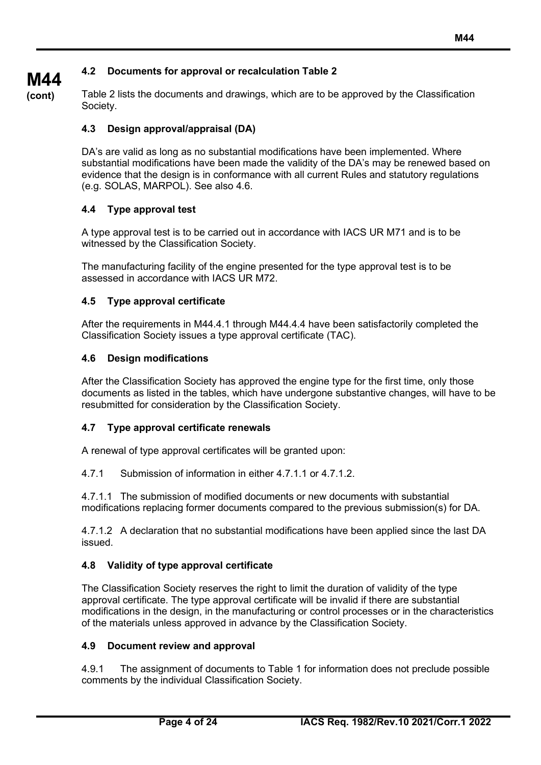## **4.2 Documents for approval or recalculation Table 2**

**M44 (cont)**

Table 2 lists the documents and drawings, which are to be approved by the Classification Society.

## **4.3 Design approval/appraisal (DA)**

DA's are valid as long as no substantial modifications have been implemented. Where substantial modifications have been made the validity of the DA's may be renewed based on evidence that the design is in conformance with all current Rules and statutory regulations (e.g. SOLAS, MARPOL). See also 4.6.

## **4.4 Type approval test**

A type approval test is to be carried out in accordance with IACS UR M71 and is to be witnessed by the Classification Society.

The manufacturing facility of the engine presented for the type approval test is to be assessed in accordance with IACS UR M72.

## **4.5 Type approval certificate**

After the requirements in M44.4.1 through M44.4.4 have been satisfactorily completed the Classification Society issues a type approval certificate (TAC).

## **4.6 Design modifications**

After the Classification Society has approved the engine type for the first time, only those documents as listed in the tables, which have undergone substantive changes, will have to be resubmitted for consideration by the Classification Society.

## **4.7 Type approval certificate renewals**

A renewal of type approval certificates will be granted upon:

4.7.1 Submission of information in either 4.7.1.1 or 4.7.1.2.

4.7.1.1 The submission of modified documents or new documents with substantial modifications replacing former documents compared to the previous submission(s) for DA.

4.7.1.2 A declaration that no substantial modifications have been applied since the last DA issued.

## **4.8 Validity of type approval certificate**

The Classification Society reserves the right to limit the duration of validity of the type approval certificate. The type approval certificate will be invalid if there are substantial modifications in the design, in the manufacturing or control processes or in the characteristics of the materials unless approved in advance by the Classification Society.

## **4.9 Document review and approval**

4.9.1 The assignment of documents to Table 1 for information does not preclude possible comments by the individual Classification Society.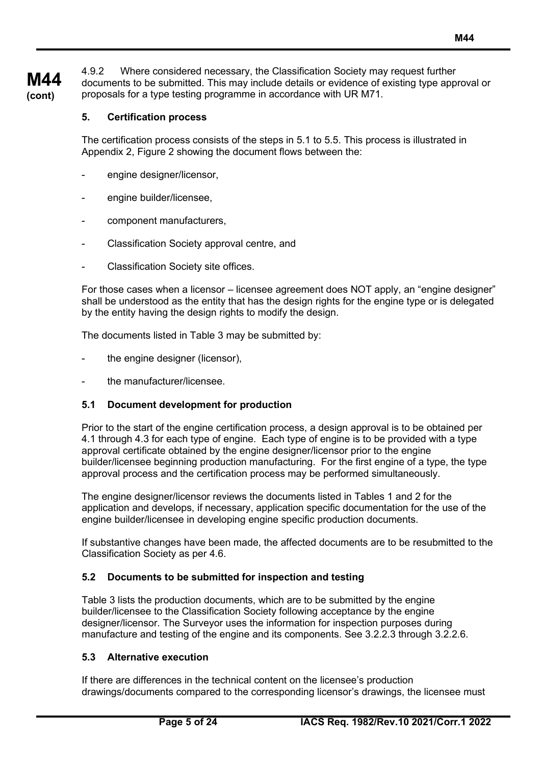**M44 (cont)** 4.9.2 Where considered necessary, the Classification Society may request further documents to be submitted. This may include details or evidence of existing type approval or proposals for a type testing programme in accordance with UR M71.

#### **5. Certification process**

The certification process consists of the steps in 5.1 to 5.5. This process is illustrated in Appendix 2, Figure 2 showing the document flows between the:

- engine designer/licensor,
- engine builder/licensee,
- component manufacturers,
- Classification Society approval centre, and
- Classification Society site offices.

For those cases when a licensor – licensee agreement does NOT apply, an "engine designer" shall be understood as the entity that has the design rights for the engine type or is delegated by the entity having the design rights to modify the design.

The documents listed in Table 3 may be submitted by:

- the engine designer (licensor),
- the manufacturer/licensee.

### **5.1 Document development for production**

Prior to the start of the engine certification process, a design approval is to be obtained per 4.1 through 4.3 for each type of engine. Each type of engine is to be provided with a type approval certificate obtained by the engine designer/licensor prior to the engine builder/licensee beginning production manufacturing. For the first engine of a type, the type approval process and the certification process may be performed simultaneously.

The engine designer/licensor reviews the documents listed in Tables 1 and 2 for the application and develops, if necessary, application specific documentation for the use of the engine builder/licensee in developing engine specific production documents.

If substantive changes have been made, the affected documents are to be resubmitted to the Classification Society as per 4.6.

### **5.2 Documents to be submitted for inspection and testing**

Table 3 lists the production documents, which are to be submitted by the engine builder/licensee to the Classification Society following acceptance by the engine designer/licensor. The Surveyor uses the information for inspection purposes during manufacture and testing of the engine and its components. See 3.2.2.3 through 3.2.2.6.

#### **5.3 Alternative execution**

If there are differences in the technical content on the licensee's production drawings/documents compared to the corresponding licensor's drawings, the licensee must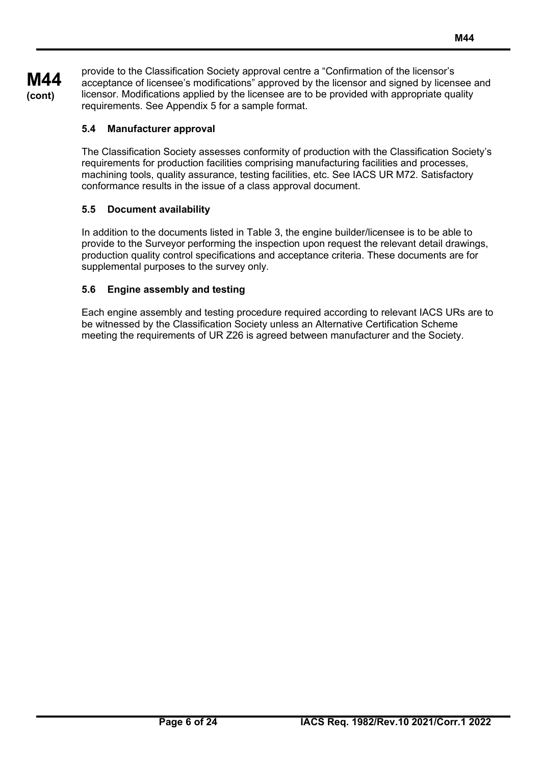**M44 (cont)** provide to the Classification Society approval centre a "Confirmation of the licensor's acceptance of licensee's modifications" approved by the licensor and signed by licensee and licensor. Modifications applied by the licensee are to be provided with appropriate quality requirements. See Appendix 5 for a sample format.

## **5.4 Manufacturer approval**

The Classification Society assesses conformity of production with the Classification Society's requirements for production facilities comprising manufacturing facilities and processes, machining tools, quality assurance, testing facilities, etc. See IACS UR M72. Satisfactory conformance results in the issue of a class approval document.

## **5.5 Document availability**

In addition to the documents listed in Table 3, the engine builder/licensee is to be able to provide to the Surveyor performing the inspection upon request the relevant detail drawings, production quality control specifications and acceptance criteria. These documents are for supplemental purposes to the survey only.

## **5.6 Engine assembly and testing**

Each engine assembly and testing procedure required according to relevant IACS URs are to be witnessed by the Classification Society unless an Alternative Certification Scheme meeting the requirements of UR Z26 is agreed between manufacturer and the Society.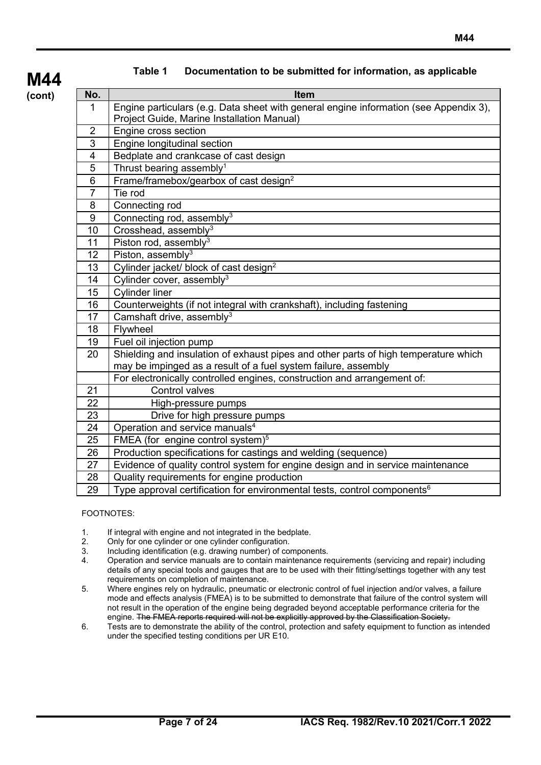| No.            | <b>Item</b>                                                                                                                                           |
|----------------|-------------------------------------------------------------------------------------------------------------------------------------------------------|
| 1              | Engine particulars (e.g. Data sheet with general engine information (see Appendix 3),<br>Project Guide, Marine Installation Manual)                   |
| $\overline{2}$ | Engine cross section                                                                                                                                  |
| 3              | Engine longitudinal section                                                                                                                           |
| 4              | Bedplate and crankcase of cast design                                                                                                                 |
| 5              | Thrust bearing assembly <sup>1</sup>                                                                                                                  |
| 6              | Frame/framebox/gearbox of cast design <sup>2</sup>                                                                                                    |
| $\overline{7}$ | Tie rod                                                                                                                                               |
| 8              | Connecting rod                                                                                                                                        |
| 9              | Connecting rod, assembly <sup>3</sup>                                                                                                                 |
| 10             | $\overline{\text{Cross}}$ head, assembly <sup>3</sup>                                                                                                 |
| 11             | Piston rod, assembly $3$                                                                                                                              |
| 12             | Piston, assembly <sup>3</sup>                                                                                                                         |
| 13             | Cylinder jacket/ block of cast design <sup>2</sup>                                                                                                    |
| 14             | Cylinder cover, assembly <sup>3</sup>                                                                                                                 |
| 15             | <b>Cylinder liner</b>                                                                                                                                 |
| 16             | Counterweights (if not integral with crankshaft), including fastening                                                                                 |
| 17             | Camshaft drive, assembly <sup>3</sup>                                                                                                                 |
| 18             | Flywheel                                                                                                                                              |
| 19             | Fuel oil injection pump                                                                                                                               |
| 20             | Shielding and insulation of exhaust pipes and other parts of high temperature which<br>may be impinged as a result of a fuel system failure, assembly |
|                | For electronically controlled engines, construction and arrangement of:                                                                               |
| 21             | Control valves                                                                                                                                        |
| 22             | High-pressure pumps                                                                                                                                   |
| 23             | Drive for high pressure pumps                                                                                                                         |
| 24             | Operation and service manuals <sup>4</sup>                                                                                                            |
| 25             | FMEA (for engine control system) <sup>5</sup>                                                                                                         |
| 26             | Production specifications for castings and welding (sequence)                                                                                         |
| 27             | Evidence of quality control system for engine design and in service maintenance                                                                       |
| 28             | Quality requirements for engine production                                                                                                            |
| 29             | Type approval certification for environmental tests, control components <sup>6</sup>                                                                  |

### **Table 1 Documentation to be submitted for information, as applicable**

FOOTNOTES:

- 1. If integral with engine and not integrated in the bedplate.<br>2. Only for one cylinder or one cylinder configuration.
- 2. Only for one cylinder or one cylinder configuration.<br>3. Including identification (e.g. drawing number) of com-
- 3. Including identification (e.g. drawing number) of components.
- 4. Operation and service manuals are to contain maintenance requirements (servicing and repair) including details of any special tools and gauges that are to be used with their fitting/settings together with any test requirements on completion of maintenance.
- 5. Where engines rely on hydraulic, pneumatic or electronic control of fuel injection and/or valves, a failure mode and effects analysis (FMEA) is to be submitted to demonstrate that failure of the control system will not result in the operation of the engine being degraded beyond acceptable performance criteria for the engine. The FMEA reports required will not be explicitly approved by the Classification Society.
- 6. Tests are to demonstrate the ability of the control, protection and safety equipment to function as intended under the specified testing conditions per UR E10.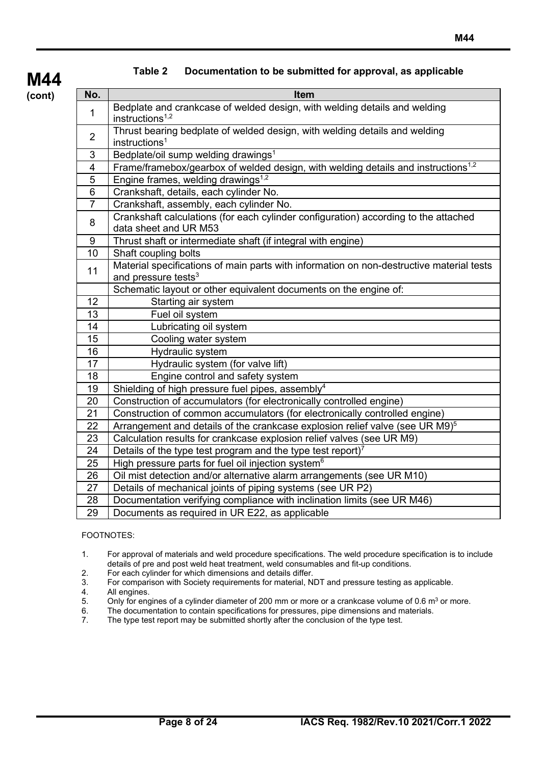| No.             | <b>Item</b>                                                                                                                 |
|-----------------|-----------------------------------------------------------------------------------------------------------------------------|
| $\mathbf{1}$    | Bedplate and crankcase of welded design, with welding details and welding<br>instructions $1,2$                             |
| 2               | Thrust bearing bedplate of welded design, with welding details and welding<br>instructions <sup>1</sup>                     |
| 3               | Bedplate/oil sump welding drawings <sup>1</sup>                                                                             |
| $\overline{4}$  | Frame/framebox/gearbox of welded design, with welding details and instructions <sup>1,2</sup>                               |
| 5               | Engine frames, welding drawings <sup>1,2</sup>                                                                              |
| 6               | Crankshaft, details, each cylinder No.                                                                                      |
| $\overline{7}$  | Crankshaft, assembly, each cylinder No.                                                                                     |
| 8               | Crankshaft calculations (for each cylinder configuration) according to the attached<br>data sheet and UR M53                |
| 9               | Thrust shaft or intermediate shaft (if integral with engine)                                                                |
| 10              | Shaft coupling bolts                                                                                                        |
| 11              | Material specifications of main parts with information on non-destructive material tests<br>and pressure tests <sup>3</sup> |
|                 | Schematic layout or other equivalent documents on the engine of:                                                            |
| 12 <sub>2</sub> | Starting air system                                                                                                         |
| 13              | Fuel oil system                                                                                                             |
| 14              | Lubricating oil system                                                                                                      |
| 15              | Cooling water system                                                                                                        |
| 16              | Hydraulic system                                                                                                            |
| 17              | Hydraulic system (for valve lift)                                                                                           |
| 18              | Engine control and safety system                                                                                            |
| 19              | Shielding of high pressure fuel pipes, assembly <sup>4</sup>                                                                |
| 20              | Construction of accumulators (for electronically controlled engine)                                                         |
| 21              | Construction of common accumulators (for electronically controlled engine)                                                  |
| 22              | Arrangement and details of the crankcase explosion relief valve (see UR M9) <sup>5</sup>                                    |
| 23              | Calculation results for crankcase explosion relief valves (see UR M9)                                                       |
| 24              | Details of the type test program and the type test report) <sup>7</sup>                                                     |
| 25              | High pressure parts for fuel oil injection system <sup>6</sup>                                                              |
| 26              | Oil mist detection and/or alternative alarm arrangements (see UR M10)                                                       |
| 27              | Details of mechanical joints of piping systems (see UR P2)                                                                  |
| 28              | Documentation verifying compliance with inclination limits (see UR M46)                                                     |
| 29              | Documents as required in UR E22, as applicable                                                                              |

## **Table 2 Documentation to be submitted for approval, as applicable**

FOOTNOTES:

- 1. For approval of materials and weld procedure specifications. The weld procedure specification is to include details of pre and post weld heat treatment, weld consumables and fit-up conditions.
- 2. For each cylinder for which dimensions and details differ.
- 3. For comparison with Society requirements for material, NDT and pressure testing as applicable.
- 4. All engines.<br>5. Only for eng
- 5. Only for engines of a cylinder diameter of 200 mm or more or a crankcase volume of 0.6 m<sup>3</sup> or more.<br>6. The documentation to contain specifications for pressures, pipe dimensions and materials.
- 6. The documentation to contain specifications for pressures, pipe dimensions and materials.<br>7. The type test report may be submitted shortly after the conclusion of the type test.
- The type test report may be submitted shortly after the conclusion of the type test.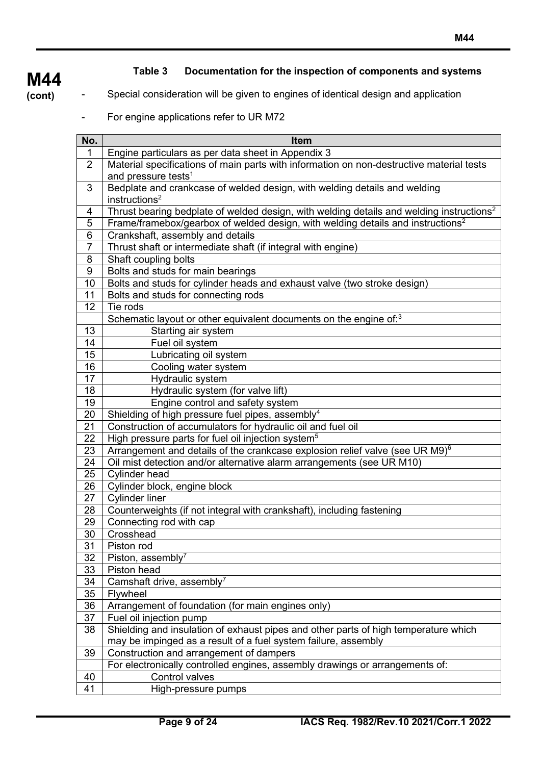## **M44**

## **Table 3 Documentation for the inspection of components and systems**

**(cont)**

- Special consideration will be given to engines of identical design and application
	- For engine applications refer to UR M72

| No.            | Item                                                                                                                        |
|----------------|-----------------------------------------------------------------------------------------------------------------------------|
| 1              | Engine particulars as per data sheet in Appendix 3                                                                          |
| $\overline{2}$ | Material specifications of main parts with information on non-destructive material tests<br>and pressure tests <sup>1</sup> |
| 3              | Bedplate and crankcase of welded design, with welding details and welding<br>instructions <sup>2</sup>                      |
| 4              | Thrust bearing bedplate of welded design, with welding details and welding instructions <sup>2</sup>                        |
| 5              | Frame/framebox/gearbox of welded design, with welding details and instructions <sup>2</sup>                                 |
| $\overline{6}$ | Crankshaft, assembly and details                                                                                            |
| $\overline{7}$ | Thrust shaft or intermediate shaft (if integral with engine)                                                                |
| 8              | Shaft coupling bolts                                                                                                        |
| 9              | Bolts and studs for main bearings                                                                                           |
| 10             | Bolts and studs for cylinder heads and exhaust valve (two stroke design)                                                    |
| 11             | Bolts and studs for connecting rods                                                                                         |
| 12             | Tie rods                                                                                                                    |
|                | Schematic layout or other equivalent documents on the engine of: <sup>3</sup>                                               |
| 13             | Starting air system                                                                                                         |
| 14             | Fuel oil system                                                                                                             |
| 15<br>16       | Lubricating oil system                                                                                                      |
| 17             | Cooling water system<br>Hydraulic system                                                                                    |
| 18             | Hydraulic system (for valve lift)                                                                                           |
| 19             | Engine control and safety system                                                                                            |
| 20             | Shielding of high pressure fuel pipes, assembly <sup>4</sup>                                                                |
| 21             | Construction of accumulators for hydraulic oil and fuel oil                                                                 |
| 22             | High pressure parts for fuel oil injection system <sup>5</sup>                                                              |
| 23             | Arrangement and details of the crankcase explosion relief valve (see UR M9) <sup>6</sup>                                    |
| 24             | Oil mist detection and/or alternative alarm arrangements (see UR M10)                                                       |
| 25             | <b>Cylinder head</b>                                                                                                        |
| 26             | Cylinder block, engine block                                                                                                |
| 27             | <b>Cylinder liner</b>                                                                                                       |
| 28             | Counterweights (if not integral with crankshaft), including fastening                                                       |
| 29             | Connecting rod with cap                                                                                                     |
| 30             | Crosshead                                                                                                                   |
| 31             | Piston rod                                                                                                                  |
| 32             | Piston, assembly <sup>7</sup>                                                                                               |
| 33             | Piston head                                                                                                                 |
| 34             | Camshaft drive, assembly <sup>7</sup>                                                                                       |
| 35             | Flywheel                                                                                                                    |
| 36             | Arrangement of foundation (for main engines only)                                                                           |
| 37             | Fuel oil injection pump                                                                                                     |
| 38             | Shielding and insulation of exhaust pipes and other parts of high temperature which                                         |
|                | may be impinged as a result of a fuel system failure, assembly                                                              |
| 39             | Construction and arrangement of dampers                                                                                     |
|                | For electronically controlled engines, assembly drawings or arrangements of:<br>Control valves                              |
| 40<br>41       |                                                                                                                             |
|                | High-pressure pumps                                                                                                         |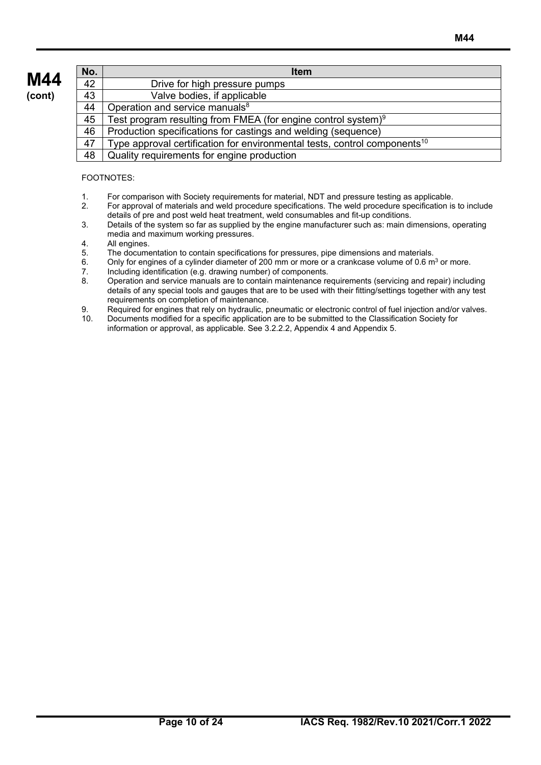| No.             | <b>Item</b>                                                                           |
|-----------------|---------------------------------------------------------------------------------------|
| 42              | Drive for high pressure pumps                                                         |
| $\overline{43}$ | Valve bodies, if applicable                                                           |
| 44              | Operation and service manuals <sup>8</sup>                                            |
| 45              | Test program resulting from FMEA (for engine control system) $9$                      |
| 46              | Production specifications for castings and welding (sequence)                         |
| 47              | Type approval certification for environmental tests, control components <sup>10</sup> |
| 48              | Quality requirements for engine production                                            |

#### FOOTNOTES:

- 1. For comparison with Society requirements for material, NDT and pressure testing as applicable.
- 2. For approval of materials and weld procedure specifications. The weld procedure specification is to include details of pre and post weld heat treatment, weld consumables and fit-up conditions.
- 3. Details of the system so far as supplied by the engine manufacturer such as: main dimensions, operating media and maximum working pressures.
- 4. All engines.<br>5. The docume
- 5. The documentation to contain specifications for pressures, pipe dimensions and materials.<br>6. Only for engines of a cylinder diameter of 200 mm or more or a crankcase volume of 0.6 m
- 6. Only for engines of a cylinder diameter of 200 mm or more or a crankcase volume of 0.6 m<sup>3</sup> or more.<br>7. Including identification (e.g. drawing number) of components.
- 7. Including identification (e.g. drawing number) of components.
- 8. Operation and service manuals are to contain maintenance requirements (servicing and repair) including details of any special tools and gauges that are to be used with their fitting/settings together with any test requirements on completion of maintenance.
- 9. Required for engines that rely on hydraulic, pneumatic or electronic control of fuel injection and/or valves.<br>10. Documents modified for a specific application are to be submitted to the Classification Society for
- 10. Documents modified for a specific application are to be submitted to the Classification Society for information or approval, as applicable. See 3.2.2.2, Appendix 4 and Appendix 5.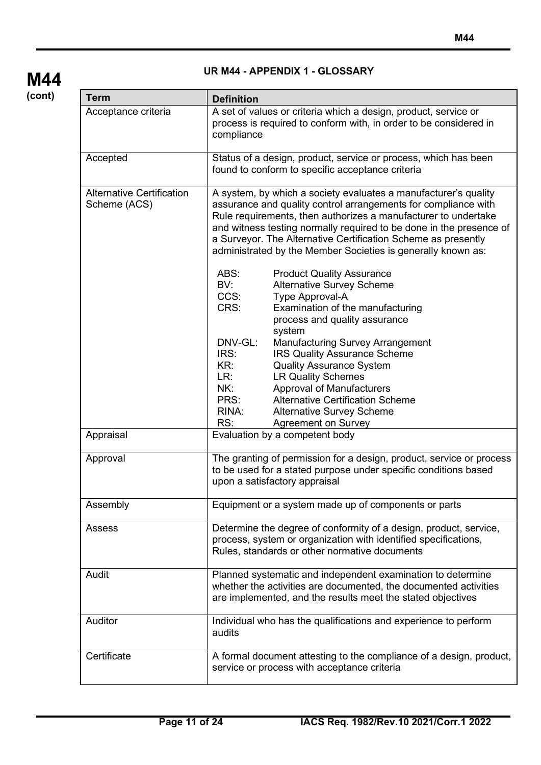| <b>Term</b>                                      | <b>Definition</b>                                                                                                                                                                                                                                                                                                                                                                                                                                                                                                                                                                                                                                                                                                                                                                                                                                                                                                                                                                |  |  |  |  |  |
|--------------------------------------------------|----------------------------------------------------------------------------------------------------------------------------------------------------------------------------------------------------------------------------------------------------------------------------------------------------------------------------------------------------------------------------------------------------------------------------------------------------------------------------------------------------------------------------------------------------------------------------------------------------------------------------------------------------------------------------------------------------------------------------------------------------------------------------------------------------------------------------------------------------------------------------------------------------------------------------------------------------------------------------------|--|--|--|--|--|
| Acceptance criteria                              | A set of values or criteria which a design, product, service or<br>process is required to conform with, in order to be considered in<br>compliance                                                                                                                                                                                                                                                                                                                                                                                                                                                                                                                                                                                                                                                                                                                                                                                                                               |  |  |  |  |  |
| Accepted                                         | Status of a design, product, service or process, which has been<br>found to conform to specific acceptance criteria                                                                                                                                                                                                                                                                                                                                                                                                                                                                                                                                                                                                                                                                                                                                                                                                                                                              |  |  |  |  |  |
| <b>Alternative Certification</b><br>Scheme (ACS) | A system, by which a society evaluates a manufacturer's quality<br>assurance and quality control arrangements for compliance with<br>Rule requirements, then authorizes a manufacturer to undertake<br>and witness testing normally required to be done in the presence of<br>a Surveyor. The Alternative Certification Scheme as presently<br>administrated by the Member Societies is generally known as:<br>ABS:<br><b>Product Quality Assurance</b><br>BV:<br><b>Alternative Survey Scheme</b><br>CCS:<br>Type Approval-A<br>CRS:<br>Examination of the manufacturing<br>process and quality assurance<br>system<br>DNV-GL:<br><b>Manufacturing Survey Arrangement</b><br>IRS:<br><b>IRS Quality Assurance Scheme</b><br>KR:<br><b>Quality Assurance System</b><br>LR:<br><b>LR Quality Schemes</b><br>NK:<br>Approval of Manufacturers<br>PRS:<br><b>Alternative Certification Scheme</b><br>RINA:<br><b>Alternative Survey Scheme</b><br>RS:<br><b>Agreement on Survey</b> |  |  |  |  |  |
| Appraisal                                        | Evaluation by a competent body                                                                                                                                                                                                                                                                                                                                                                                                                                                                                                                                                                                                                                                                                                                                                                                                                                                                                                                                                   |  |  |  |  |  |
| Approval                                         | The granting of permission for a design, product, service or process<br>to be used for a stated purpose under specific conditions based<br>upon a satisfactory appraisal                                                                                                                                                                                                                                                                                                                                                                                                                                                                                                                                                                                                                                                                                                                                                                                                         |  |  |  |  |  |
| Assembly                                         | Equipment or a system made up of components or parts                                                                                                                                                                                                                                                                                                                                                                                                                                                                                                                                                                                                                                                                                                                                                                                                                                                                                                                             |  |  |  |  |  |
| Assess                                           | Determine the degree of conformity of a design, product, service,<br>process, system or organization with identified specifications,<br>Rules, standards or other normative documents                                                                                                                                                                                                                                                                                                                                                                                                                                                                                                                                                                                                                                                                                                                                                                                            |  |  |  |  |  |
| Audit                                            | Planned systematic and independent examination to determine<br>whether the activities are documented, the documented activities<br>are implemented, and the results meet the stated objectives                                                                                                                                                                                                                                                                                                                                                                                                                                                                                                                                                                                                                                                                                                                                                                                   |  |  |  |  |  |
| Auditor                                          | Individual who has the qualifications and experience to perform<br>audits                                                                                                                                                                                                                                                                                                                                                                                                                                                                                                                                                                                                                                                                                                                                                                                                                                                                                                        |  |  |  |  |  |
| Certificate                                      | A formal document attesting to the compliance of a design, product,<br>service or process with acceptance criteria                                                                                                                                                                                                                                                                                                                                                                                                                                                                                                                                                                                                                                                                                                                                                                                                                                                               |  |  |  |  |  |

#### **UR M44 - APPENDIX 1 - GLOSSARY**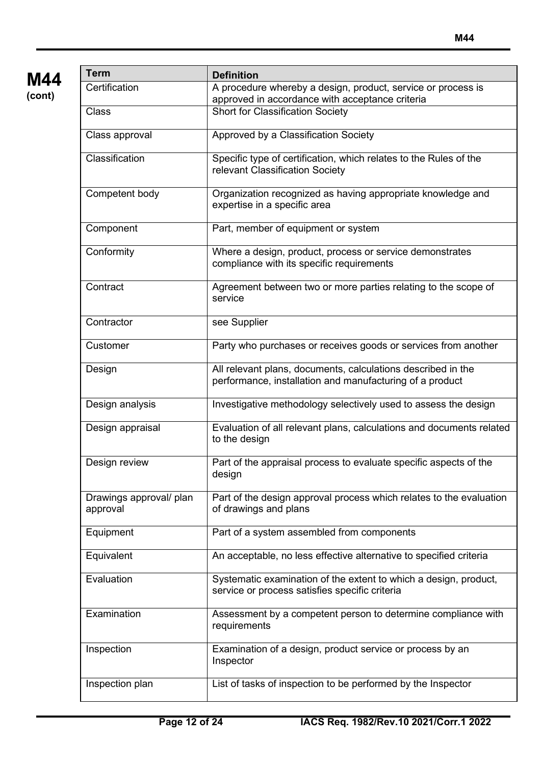| Term                                | <b>Definition</b>                                                                                                        |  |  |  |  |  |
|-------------------------------------|--------------------------------------------------------------------------------------------------------------------------|--|--|--|--|--|
| Certification                       | A procedure whereby a design, product, service or process is<br>approved in accordance with acceptance criteria          |  |  |  |  |  |
| Class                               | <b>Short for Classification Society</b>                                                                                  |  |  |  |  |  |
| Class approval                      | Approved by a Classification Society                                                                                     |  |  |  |  |  |
| Classification                      | Specific type of certification, which relates to the Rules of the<br>relevant Classification Society                     |  |  |  |  |  |
| Competent body                      | Organization recognized as having appropriate knowledge and<br>expertise in a specific area                              |  |  |  |  |  |
| Component                           | Part, member of equipment or system                                                                                      |  |  |  |  |  |
| Conformity                          | Where a design, product, process or service demonstrates<br>compliance with its specific requirements                    |  |  |  |  |  |
| Contract                            | Agreement between two or more parties relating to the scope of<br>service                                                |  |  |  |  |  |
| Contractor                          | see Supplier                                                                                                             |  |  |  |  |  |
| Customer                            | Party who purchases or receives goods or services from another                                                           |  |  |  |  |  |
| Design                              | All relevant plans, documents, calculations described in the<br>performance, installation and manufacturing of a product |  |  |  |  |  |
| Design analysis                     | Investigative methodology selectively used to assess the design                                                          |  |  |  |  |  |
| Design appraisal                    | Evaluation of all relevant plans, calculations and documents related<br>to the design                                    |  |  |  |  |  |
| Design review                       | Part of the appraisal process to evaluate specific aspects of the<br>design                                              |  |  |  |  |  |
| Drawings approval/ plan<br>approval | Part of the design approval process which relates to the evaluation<br>of drawings and plans                             |  |  |  |  |  |
| Equipment                           | Part of a system assembled from components                                                                               |  |  |  |  |  |
| Equivalent                          | An acceptable, no less effective alternative to specified criteria                                                       |  |  |  |  |  |
| Evaluation                          | Systematic examination of the extent to which a design, product,<br>service or process satisfies specific criteria       |  |  |  |  |  |
| Examination                         | Assessment by a competent person to determine compliance with<br>requirements                                            |  |  |  |  |  |
| Inspection                          | Examination of a design, product service or process by an<br>Inspector                                                   |  |  |  |  |  |
| Inspection plan                     | List of tasks of inspection to be performed by the Inspector                                                             |  |  |  |  |  |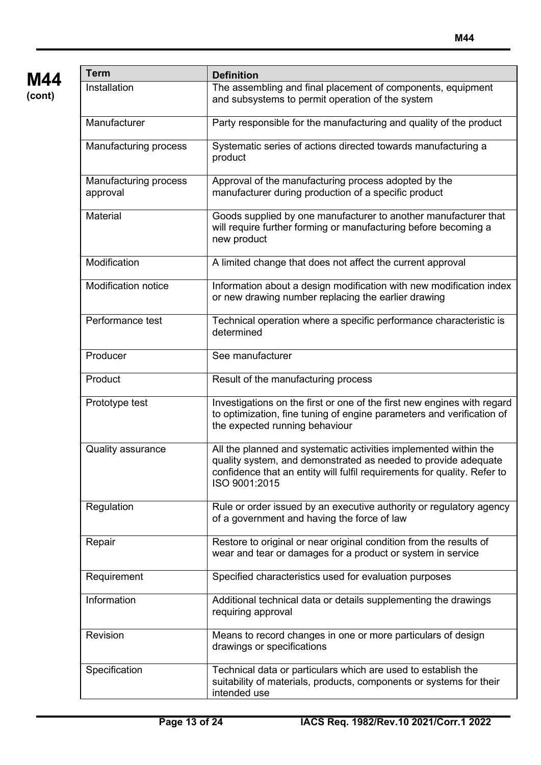

| <b>Term</b>                       | <b>Definition</b>                                                                                                                                                                                                               |  |  |  |  |  |
|-----------------------------------|---------------------------------------------------------------------------------------------------------------------------------------------------------------------------------------------------------------------------------|--|--|--|--|--|
| Installation                      | The assembling and final placement of components, equipment<br>and subsystems to permit operation of the system                                                                                                                 |  |  |  |  |  |
| Manufacturer                      | Party responsible for the manufacturing and quality of the product                                                                                                                                                              |  |  |  |  |  |
| Manufacturing process             | Systematic series of actions directed towards manufacturing a<br>product                                                                                                                                                        |  |  |  |  |  |
| Manufacturing process<br>approval | Approval of the manufacturing process adopted by the<br>manufacturer during production of a specific product                                                                                                                    |  |  |  |  |  |
| Material                          | Goods supplied by one manufacturer to another manufacturer that<br>will require further forming or manufacturing before becoming a<br>new product                                                                               |  |  |  |  |  |
| Modification                      | A limited change that does not affect the current approval                                                                                                                                                                      |  |  |  |  |  |
| <b>Modification notice</b>        | Information about a design modification with new modification index<br>or new drawing number replacing the earlier drawing                                                                                                      |  |  |  |  |  |
| Performance test                  | Technical operation where a specific performance characteristic is<br>determined                                                                                                                                                |  |  |  |  |  |
| Producer                          | See manufacturer                                                                                                                                                                                                                |  |  |  |  |  |
| Product                           | Result of the manufacturing process                                                                                                                                                                                             |  |  |  |  |  |
| Prototype test                    | Investigations on the first or one of the first new engines with regard<br>to optimization, fine tuning of engine parameters and verification of<br>the expected running behaviour                                              |  |  |  |  |  |
| <b>Quality assurance</b>          | All the planned and systematic activities implemented within the<br>quality system, and demonstrated as needed to provide adequate<br>confidence that an entity will fulfil requirements for quality. Refer to<br>ISO 9001:2015 |  |  |  |  |  |
| Regulation                        | Rule or order issued by an executive authority or regulatory agency<br>of a government and having the force of law                                                                                                              |  |  |  |  |  |
| Repair                            | Restore to original or near original condition from the results of<br>wear and tear or damages for a product or system in service                                                                                               |  |  |  |  |  |
| Requirement                       | Specified characteristics used for evaluation purposes                                                                                                                                                                          |  |  |  |  |  |
| Information                       | Additional technical data or details supplementing the drawings<br>requiring approval                                                                                                                                           |  |  |  |  |  |
| Revision                          | Means to record changes in one or more particulars of design<br>drawings or specifications                                                                                                                                      |  |  |  |  |  |
| Specification                     | Technical data or particulars which are used to establish the<br>suitability of materials, products, components or systems for their<br>intended use                                                                            |  |  |  |  |  |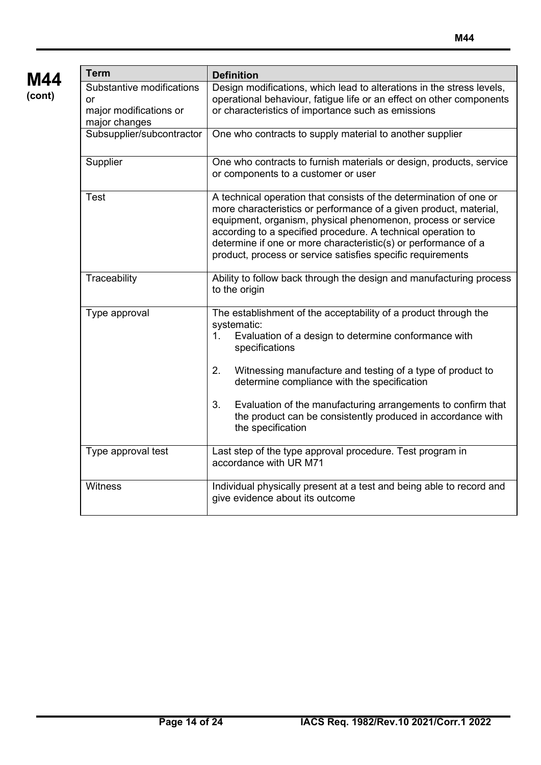| M44    |
|--------|
| (cont) |

| <b>Term</b>                                                                | <b>Definition</b>                                                                                                                                                                                                                                                                                                                                                                                                                                |
|----------------------------------------------------------------------------|--------------------------------------------------------------------------------------------------------------------------------------------------------------------------------------------------------------------------------------------------------------------------------------------------------------------------------------------------------------------------------------------------------------------------------------------------|
| Substantive modifications<br>or<br>major modifications or<br>major changes | Design modifications, which lead to alterations in the stress levels,<br>operational behaviour, fatigue life or an effect on other components<br>or characteristics of importance such as emissions                                                                                                                                                                                                                                              |
| Subsupplier/subcontractor                                                  | One who contracts to supply material to another supplier                                                                                                                                                                                                                                                                                                                                                                                         |
| Supplier                                                                   | One who contracts to furnish materials or design, products, service<br>or components to a customer or user                                                                                                                                                                                                                                                                                                                                       |
| Test                                                                       | A technical operation that consists of the determination of one or<br>more characteristics or performance of a given product, material,<br>equipment, organism, physical phenomenon, process or service<br>according to a specified procedure. A technical operation to<br>determine if one or more characteristic(s) or performance of a<br>product, process or service satisfies specific requirements                                         |
| Traceability                                                               | Ability to follow back through the design and manufacturing process<br>to the origin                                                                                                                                                                                                                                                                                                                                                             |
| Type approval                                                              | The establishment of the acceptability of a product through the<br>systematic:<br>Evaluation of a design to determine conformance with<br>$1_{-}$<br>specifications<br>2.<br>Witnessing manufacture and testing of a type of product to<br>determine compliance with the specification<br>3.<br>Evaluation of the manufacturing arrangements to confirm that<br>the product can be consistently produced in accordance with<br>the specification |
| Type approval test                                                         | Last step of the type approval procedure. Test program in<br>accordance with UR M71                                                                                                                                                                                                                                                                                                                                                              |
| Witness                                                                    | Individual physically present at a test and being able to record and<br>give evidence about its outcome                                                                                                                                                                                                                                                                                                                                          |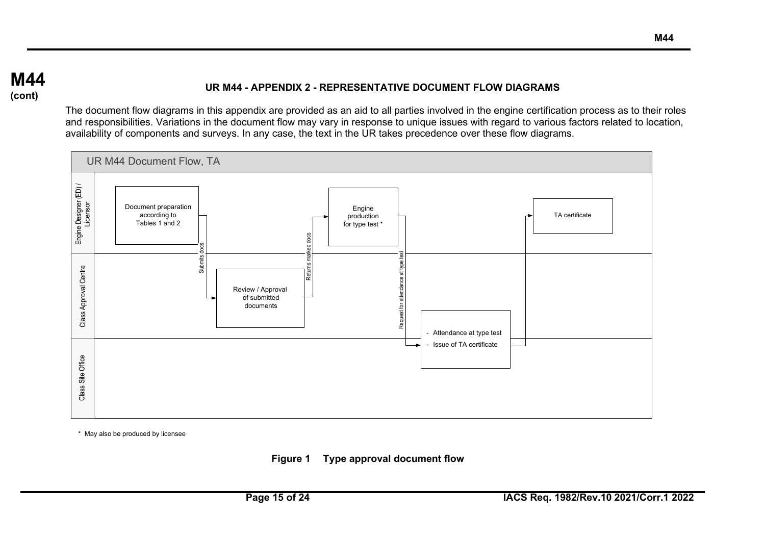## **M44 (cont)**

### **UR M44 - APPENDIX 2 - REPRESENTATIVE DOCUMENT FLOW DIAGRAMS**

The document flow diagrams in this appendix are provided as an aid to all parties involved in the engine certification process as to their roles and responsibilities. Variations in the document flow may vary in response to unique issues with regard to various factors related to location, availability of components and surveys. In any case, the text in the UR takes precedence over these flow diagrams.



\* May also be produced by licensee

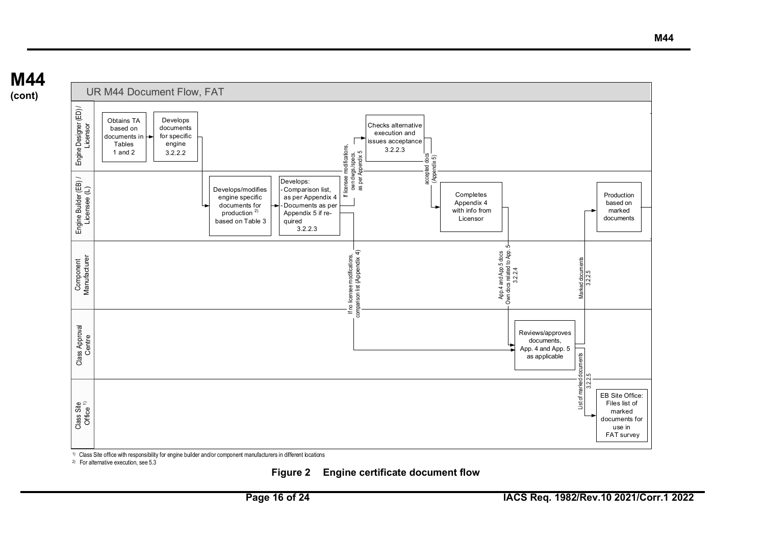



1) Class Site office with responsibility for engine builder and/or component manufacturers in different locations

2) For alternative execution, see 5.3

#### **Figure 2 Engine certificate document flow**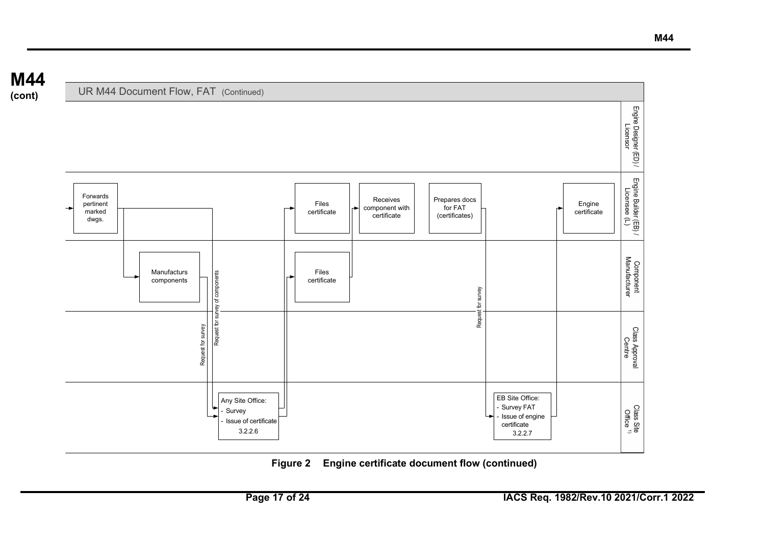

## **Figure 2 Engine certificate document flow (continued)**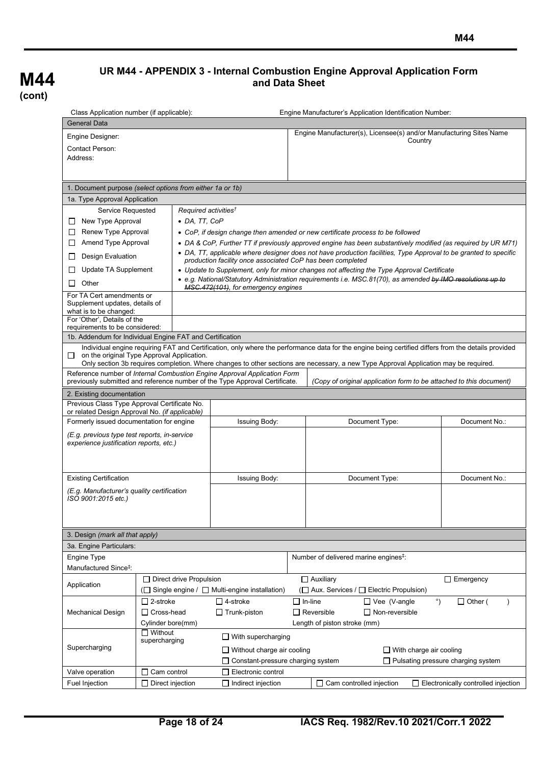## **UR M44 - APPENDIX 3 - Internal Combustion Engine Approval Application Form and Data Sheet**

| Class Application number (if applicable):                                                      |                                                           |                                                                             | Engine Manufacturer's Application Identification Number:                                                                                                                       |  |  |  |  |  |  |
|------------------------------------------------------------------------------------------------|-----------------------------------------------------------|-----------------------------------------------------------------------------|--------------------------------------------------------------------------------------------------------------------------------------------------------------------------------|--|--|--|--|--|--|
| <b>General Data</b>                                                                            |                                                           |                                                                             |                                                                                                                                                                                |  |  |  |  |  |  |
| Engine Designer:                                                                               |                                                           |                                                                             | Engine Manufacturer(s), Licensee(s) and/or Manufacturing Sites*Name                                                                                                            |  |  |  |  |  |  |
| <b>Contact Person:</b>                                                                         |                                                           |                                                                             | Country                                                                                                                                                                        |  |  |  |  |  |  |
| Address:                                                                                       |                                                           |                                                                             |                                                                                                                                                                                |  |  |  |  |  |  |
|                                                                                                |                                                           |                                                                             |                                                                                                                                                                                |  |  |  |  |  |  |
|                                                                                                |                                                           |                                                                             |                                                                                                                                                                                |  |  |  |  |  |  |
|                                                                                                | 1. Document purpose (select options from either 1a or 1b) |                                                                             |                                                                                                                                                                                |  |  |  |  |  |  |
| 1a. Type Approval Application                                                                  |                                                           |                                                                             |                                                                                                                                                                                |  |  |  |  |  |  |
| Service Requested                                                                              | Required activities <sup>†</sup>                          |                                                                             |                                                                                                                                                                                |  |  |  |  |  |  |
| New Type Approval                                                                              | $\bullet$ DA, TT, CoP                                     |                                                                             |                                                                                                                                                                                |  |  |  |  |  |  |
| Renew Type Approval                                                                            |                                                           |                                                                             | • CoP, if design change then amended or new certificate process to be followed                                                                                                 |  |  |  |  |  |  |
| Amend Type Approval                                                                            |                                                           |                                                                             | • DA & CoP, Further TT if previously approved engine has been substantively modified (as required by UR M71)                                                                   |  |  |  |  |  |  |
| Design Evaluation                                                                              |                                                           |                                                                             | • DA, TT, applicable where designer does not have production facilities, Type Approval to be granted to specific<br>production facility once associated CoP has been completed |  |  |  |  |  |  |
| Update TA Supplement                                                                           |                                                           |                                                                             | • Update to Supplement, only for minor changes not affecting the Type Approval Certificate                                                                                     |  |  |  |  |  |  |
| Other<br>⊔                                                                                     |                                                           |                                                                             | • e.g. National/Statutory Administration requirements i.e. MSC.81(70), as amended by IMO resolutions up to                                                                     |  |  |  |  |  |  |
|                                                                                                |                                                           | MSC.472(101), for emergency engines                                         |                                                                                                                                                                                |  |  |  |  |  |  |
| For TA Cert amendments or<br>Supplement updates, details of<br>what is to be changed:          |                                                           |                                                                             |                                                                                                                                                                                |  |  |  |  |  |  |
| For 'Other', Details of the                                                                    |                                                           |                                                                             |                                                                                                                                                                                |  |  |  |  |  |  |
| requirements to be considered:                                                                 |                                                           |                                                                             |                                                                                                                                                                                |  |  |  |  |  |  |
|                                                                                                | 1b. Addendum for Individual Engine FAT and Certification  |                                                                             |                                                                                                                                                                                |  |  |  |  |  |  |
| Ш                                                                                              | on the original Type Approval Application.                |                                                                             | Individual engine requiring FAT and Certification, only where the performance data for the engine being certified differs from the details provided                            |  |  |  |  |  |  |
|                                                                                                |                                                           |                                                                             | Only section 3b requires completion. Where changes to other sections are necessary, a new Type Approval Application may be required.                                           |  |  |  |  |  |  |
|                                                                                                |                                                           | Reference number of Internal Combustion Engine Approval Application Form    |                                                                                                                                                                                |  |  |  |  |  |  |
|                                                                                                |                                                           | previously submitted and reference number of the Type Approval Certificate. | (Copy of original application form to be attached to this document)                                                                                                            |  |  |  |  |  |  |
| 2. Existing documentation                                                                      |                                                           |                                                                             |                                                                                                                                                                                |  |  |  |  |  |  |
| Previous Class Type Approval Certificate No.<br>or related Design Approval No. (if applicable) |                                                           |                                                                             |                                                                                                                                                                                |  |  |  |  |  |  |
| Formerly issued documentation for engine                                                       |                                                           | <b>Issuing Body:</b>                                                        | Document Type:<br>Document No.:                                                                                                                                                |  |  |  |  |  |  |
|                                                                                                |                                                           |                                                                             |                                                                                                                                                                                |  |  |  |  |  |  |
| (E.g. previous type test reports, in-service<br>experience justification reports, etc.)        |                                                           |                                                                             |                                                                                                                                                                                |  |  |  |  |  |  |
|                                                                                                |                                                           |                                                                             |                                                                                                                                                                                |  |  |  |  |  |  |
|                                                                                                |                                                           |                                                                             |                                                                                                                                                                                |  |  |  |  |  |  |
| <b>Existing Certification</b>                                                                  |                                                           | <b>Issuing Body:</b>                                                        | Document Type:<br>Document No.:                                                                                                                                                |  |  |  |  |  |  |
|                                                                                                |                                                           |                                                                             |                                                                                                                                                                                |  |  |  |  |  |  |
| (E.g. Manufacturer's quality certification<br>ISO 9001:2015 etc.)                              |                                                           |                                                                             |                                                                                                                                                                                |  |  |  |  |  |  |
|                                                                                                |                                                           |                                                                             |                                                                                                                                                                                |  |  |  |  |  |  |
|                                                                                                |                                                           |                                                                             |                                                                                                                                                                                |  |  |  |  |  |  |
| 3. Design (mark all that apply)                                                                |                                                           |                                                                             |                                                                                                                                                                                |  |  |  |  |  |  |
| 3a. Engine Particulars:                                                                        |                                                           |                                                                             |                                                                                                                                                                                |  |  |  |  |  |  |
| <b>Engine Type</b>                                                                             |                                                           |                                                                             | Number of delivered marine engines <sup>‡</sup> :                                                                                                                              |  |  |  |  |  |  |
| Manufactured Since <sup>‡</sup> :                                                              |                                                           |                                                                             |                                                                                                                                                                                |  |  |  |  |  |  |
|                                                                                                | □ Direct drive Propulsion                                 |                                                                             | $\Box$ Auxiliary<br>$\Box$ Emergency                                                                                                                                           |  |  |  |  |  |  |
| Application                                                                                    | (□ Single engine / □ Multi-engine installation)           | (□ Aux. Services / □ Electric Propulsion)                                   |                                                                                                                                                                                |  |  |  |  |  |  |
|                                                                                                | $\Box$ 2-stroke                                           | $\Box$ 4-stroke                                                             | $^{\circ}$<br>□ Vee (V-angle<br>$\Box$ In-line<br>$\Box$ Other (                                                                                                               |  |  |  |  |  |  |
| <b>Mechanical Design</b>                                                                       | $\Box$ Cross-head                                         | $\Box$ Trunk-piston                                                         | $\Box$ Reversible<br>$\Box$ Non-reversible                                                                                                                                     |  |  |  |  |  |  |
|                                                                                                | Cylinder bore(mm)                                         |                                                                             | Length of piston stroke (mm)                                                                                                                                                   |  |  |  |  |  |  |
|                                                                                                | $\Box$ Without                                            |                                                                             |                                                                                                                                                                                |  |  |  |  |  |  |
|                                                                                                | supercharging                                             | $\Box$ With supercharging                                                   |                                                                                                                                                                                |  |  |  |  |  |  |
| Supercharging                                                                                  |                                                           | $\Box$ Without charge air cooling                                           | $\Box$ With charge air cooling                                                                                                                                                 |  |  |  |  |  |  |
|                                                                                                |                                                           | $\Box$ Constant-pressure charging system                                    | $\Box$ Pulsating pressure charging system                                                                                                                                      |  |  |  |  |  |  |
| Valve operation                                                                                | $\Box$ Cam control                                        | $\Box$ Electronic control                                                   |                                                                                                                                                                                |  |  |  |  |  |  |
| <b>Fuel Injection</b>                                                                          | $\Box$ Direct injection                                   | $\Box$ Indirect injection                                                   | $\Box$ Cam controlled injection<br>$\Box$ Electronically controlled injection                                                                                                  |  |  |  |  |  |  |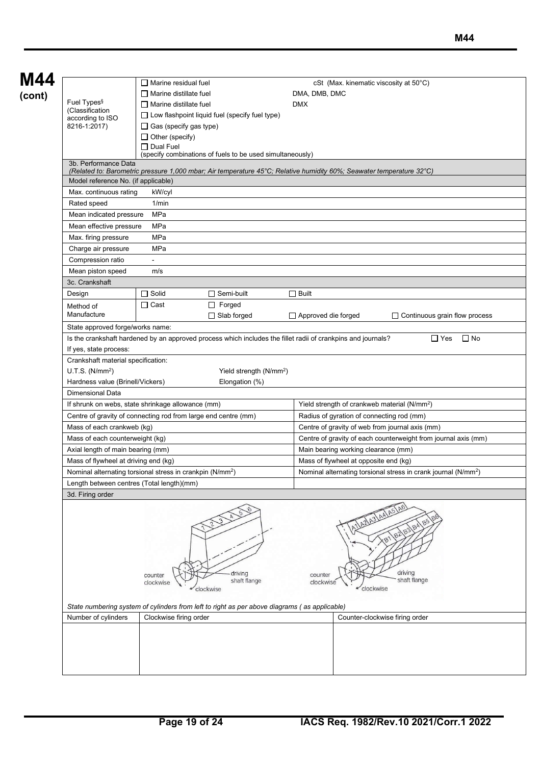| M44                                                                                                                |                                                                                                                                              |                                                                            |                                                          |                                        |                                                                |  |  |  |  |  |
|--------------------------------------------------------------------------------------------------------------------|----------------------------------------------------------------------------------------------------------------------------------------------|----------------------------------------------------------------------------|----------------------------------------------------------|----------------------------------------|----------------------------------------------------------------|--|--|--|--|--|
|                                                                                                                    | $\Box$ Marine residual fuel                                                                                                                  |                                                                            |                                                          | cSt (Max. kinematic viscosity at 50°C) |                                                                |  |  |  |  |  |
| Fuel Types <sup>§</sup>                                                                                            | $\Box$ Marine distillate fuel                                                                                                                |                                                                            | DMA, DMB, DMC                                            |                                        |                                                                |  |  |  |  |  |
| (Classification                                                                                                    | $\Box$ Marine distillate fuel                                                                                                                |                                                                            | <b>DMX</b>                                               |                                        |                                                                |  |  |  |  |  |
| according to ISO                                                                                                   | $\Box$ Low flashpoint liquid fuel (specify fuel type)                                                                                        |                                                                            |                                                          |                                        |                                                                |  |  |  |  |  |
| 8216-1:2017)                                                                                                       | $\Box$ Gas (specify gas type)                                                                                                                |                                                                            |                                                          |                                        |                                                                |  |  |  |  |  |
|                                                                                                                    | $\Box$ Other (specify)                                                                                                                       |                                                                            |                                                          |                                        |                                                                |  |  |  |  |  |
|                                                                                                                    | $\Box$ Dual Fuel<br>(specify combinations of fuels to be used simultaneously)                                                                |                                                                            |                                                          |                                        |                                                                |  |  |  |  |  |
|                                                                                                                    | 3b. Performance Data<br>(Related to: Barometric pressure 1,000 mbar; Air temperature 45°C; Relative humidity 60%; Seawater temperature 32°C) |                                                                            |                                                          |                                        |                                                                |  |  |  |  |  |
|                                                                                                                    | Model reference No. (if applicable)                                                                                                          |                                                                            |                                                          |                                        |                                                                |  |  |  |  |  |
|                                                                                                                    | Max. continuous rating<br>kW/cyl                                                                                                             |                                                                            |                                                          |                                        |                                                                |  |  |  |  |  |
| Rated speed<br>1/min                                                                                               |                                                                                                                                              |                                                                            |                                                          |                                        |                                                                |  |  |  |  |  |
| MPa<br>Mean indicated pressure                                                                                     |                                                                                                                                              |                                                                            |                                                          |                                        |                                                                |  |  |  |  |  |
| Mean effective pressure                                                                                            | MPa                                                                                                                                          |                                                                            |                                                          |                                        |                                                                |  |  |  |  |  |
| Max. firing pressure                                                                                               | MPa                                                                                                                                          |                                                                            |                                                          |                                        |                                                                |  |  |  |  |  |
| Charge air pressure                                                                                                | MPa                                                                                                                                          |                                                                            |                                                          |                                        |                                                                |  |  |  |  |  |
| Compression ratio                                                                                                  |                                                                                                                                              |                                                                            |                                                          |                                        |                                                                |  |  |  |  |  |
| Mean piston speed                                                                                                  | m/s                                                                                                                                          |                                                                            |                                                          |                                        |                                                                |  |  |  |  |  |
|                                                                                                                    |                                                                                                                                              |                                                                            |                                                          |                                        |                                                                |  |  |  |  |  |
| 3c. Crankshaft                                                                                                     |                                                                                                                                              |                                                                            |                                                          |                                        |                                                                |  |  |  |  |  |
| Design                                                                                                             | $\Box$ Solid<br>$\Box$ Semi-built                                                                                                            |                                                                            | $\Box$ Built                                             |                                        |                                                                |  |  |  |  |  |
| Method of                                                                                                          | $\Box$ Forged<br>$\Box$ Cast                                                                                                                 |                                                                            |                                                          |                                        |                                                                |  |  |  |  |  |
| Manufacture                                                                                                        | $\Box$ Slab forged                                                                                                                           |                                                                            | $\Box$ Approved die forged                               |                                        | $\Box$ Continuous grain flow process                           |  |  |  |  |  |
| State approved forge/works name:                                                                                   |                                                                                                                                              |                                                                            |                                                          |                                        |                                                                |  |  |  |  |  |
|                                                                                                                    | Is the crankshaft hardened by an approved process which includes the fillet radii of crankpins and journals?                                 |                                                                            |                                                          |                                        | $\Box$ Yes<br>$\square$ No                                     |  |  |  |  |  |
| If yes, state process:                                                                                             |                                                                                                                                              |                                                                            |                                                          |                                        |                                                                |  |  |  |  |  |
| Crankshaft material specification:                                                                                 |                                                                                                                                              |                                                                            |                                                          |                                        |                                                                |  |  |  |  |  |
| U.T.S. (N/mm <sup>2</sup> )                                                                                        |                                                                                                                                              | Yield strength (N/mm <sup>2</sup> )                                        |                                                          |                                        |                                                                |  |  |  |  |  |
| Hardness value (Brinell/Vickers)                                                                                   |                                                                                                                                              | Elongation (%)                                                             |                                                          |                                        |                                                                |  |  |  |  |  |
| Dimensional Data                                                                                                   |                                                                                                                                              |                                                                            |                                                          |                                        |                                                                |  |  |  |  |  |
| If shrunk on webs, state shrinkage allowance (mm)                                                                  |                                                                                                                                              |                                                                            | Yield strength of crankweb material (N/mm <sup>2</sup> ) |                                        |                                                                |  |  |  |  |  |
| Centre of gravity of connecting rod from large end centre (mm)                                                     |                                                                                                                                              | Radius of gyration of connecting rod (mm)                                  |                                                          |                                        |                                                                |  |  |  |  |  |
| Mass of each crankweb (kg)                                                                                         |                                                                                                                                              | Centre of gravity of web from journal axis (mm)                            |                                                          |                                        |                                                                |  |  |  |  |  |
|                                                                                                                    | Mass of each counterweight (kg)                                                                                                              |                                                                            |                                                          |                                        | Centre of gravity of each counterweight from journal axis (mm) |  |  |  |  |  |
| Axial length of main bearing (mm)                                                                                  |                                                                                                                                              |                                                                            | Main bearing working clearance (mm)                      |                                        |                                                                |  |  |  |  |  |
| Mass of flywheel at driving end (kg)                                                                               |                                                                                                                                              |                                                                            | Mass of flywheel at opposite end (kg)                    |                                        |                                                                |  |  |  |  |  |
|                                                                                                                    |                                                                                                                                              | Nominal alternating torsional stress in crank journal (N/mm <sup>2</sup> ) |                                                          |                                        |                                                                |  |  |  |  |  |
| Nominal alternating torsional stress in crankpin (N/mm <sup>2</sup> )<br>Length between centres (Total length)(mm) |                                                                                                                                              |                                                                            |                                                          |                                        |                                                                |  |  |  |  |  |
| 3d. Firing order                                                                                                   |                                                                                                                                              |                                                                            |                                                          |                                        |                                                                |  |  |  |  |  |
|                                                                                                                    | driving<br>counter<br>shaft flange<br>clockwise<br>clockwise                                                                                 | counter<br>clockwise                                                       | AILAZASAAAA5A0<br>clockwise                              | driving<br>shaft flange                |                                                                |  |  |  |  |  |
|                                                                                                                    | State numbering system of cylinders from left to right as per above diagrams (as applicable)                                                 |                                                                            |                                                          |                                        |                                                                |  |  |  |  |  |
| Number of cylinders                                                                                                | Clockwise firing order                                                                                                                       |                                                                            |                                                          |                                        | Counter-clockwise firing order                                 |  |  |  |  |  |
|                                                                                                                    |                                                                                                                                              |                                                                            |                                                          |                                        |                                                                |  |  |  |  |  |
|                                                                                                                    |                                                                                                                                              |                                                                            |                                                          |                                        |                                                                |  |  |  |  |  |
|                                                                                                                    |                                                                                                                                              |                                                                            |                                                          |                                        |                                                                |  |  |  |  |  |
|                                                                                                                    |                                                                                                                                              |                                                                            |                                                          |                                        |                                                                |  |  |  |  |  |
|                                                                                                                    |                                                                                                                                              |                                                                            |                                                          |                                        |                                                                |  |  |  |  |  |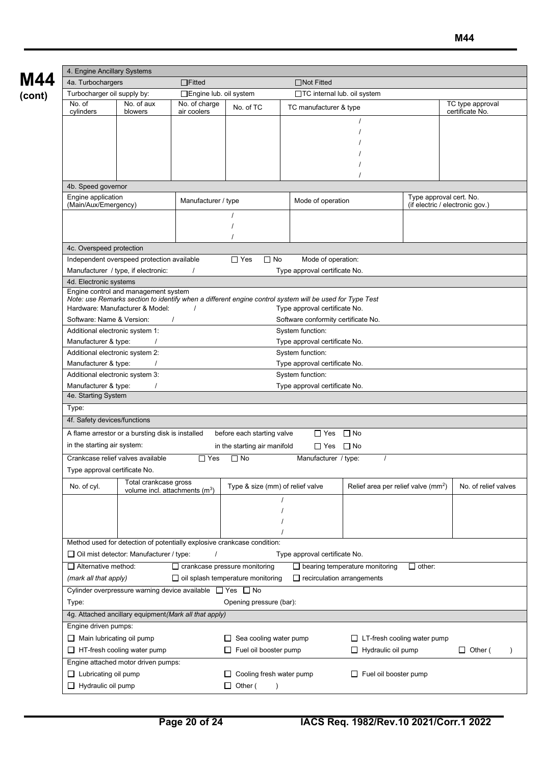|                                                                                                                                                 | 4. Engine Ancillary Systems     |                                                                     |                                      |                                                                         |                                     |                                                 |                         |                                 |  |
|-------------------------------------------------------------------------------------------------------------------------------------------------|---------------------------------|---------------------------------------------------------------------|--------------------------------------|-------------------------------------------------------------------------|-------------------------------------|-------------------------------------------------|-------------------------|---------------------------------|--|
|                                                                                                                                                 | 4a. Turbochargers               |                                                                     | $\Box$ Fitted                        | $\Box$ Not Fitted                                                       |                                     |                                                 |                         |                                 |  |
|                                                                                                                                                 | Turbocharger oil supply by:     |                                                                     | □Engine lub. oil system              |                                                                         | □TC internal lub. oil system        |                                                 |                         |                                 |  |
|                                                                                                                                                 | No. of<br>No. of aux            |                                                                     | No. of charge<br>No. of TC           |                                                                         | TC manufacturer & type              |                                                 |                         | TC type approval                |  |
|                                                                                                                                                 | cylinders                       | blowers                                                             | air coolers                          |                                                                         |                                     |                                                 |                         | certificate No.                 |  |
|                                                                                                                                                 |                                 |                                                                     |                                      |                                                                         |                                     |                                                 |                         |                                 |  |
|                                                                                                                                                 |                                 |                                                                     |                                      |                                                                         |                                     |                                                 |                         |                                 |  |
|                                                                                                                                                 |                                 |                                                                     |                                      |                                                                         |                                     |                                                 |                         |                                 |  |
|                                                                                                                                                 |                                 |                                                                     |                                      |                                                                         |                                     |                                                 |                         |                                 |  |
|                                                                                                                                                 |                                 |                                                                     |                                      |                                                                         |                                     |                                                 |                         |                                 |  |
|                                                                                                                                                 | 4b. Speed governor              |                                                                     |                                      |                                                                         |                                     |                                                 |                         |                                 |  |
|                                                                                                                                                 | Engine application              |                                                                     |                                      |                                                                         |                                     |                                                 | Type approval cert. No. |                                 |  |
|                                                                                                                                                 | (Main/Aux/Emergency)            |                                                                     | Manufacturer / type                  |                                                                         | Mode of operation                   |                                                 |                         | (if electric / electronic gov.) |  |
|                                                                                                                                                 |                                 |                                                                     |                                      |                                                                         |                                     |                                                 |                         |                                 |  |
|                                                                                                                                                 |                                 |                                                                     |                                      |                                                                         |                                     |                                                 |                         |                                 |  |
|                                                                                                                                                 |                                 |                                                                     |                                      |                                                                         |                                     |                                                 |                         |                                 |  |
|                                                                                                                                                 | 4c. Overspeed protection        |                                                                     |                                      |                                                                         |                                     |                                                 |                         |                                 |  |
|                                                                                                                                                 |                                 | Independent overspeed protection available                          |                                      | $\Box$ Yes<br>$\Box$ No                                                 | Mode of operation:                  |                                                 |                         |                                 |  |
|                                                                                                                                                 |                                 | Manufacturer / type, if electronic:                                 |                                      |                                                                         | Type approval certificate No.       |                                                 |                         |                                 |  |
|                                                                                                                                                 | 4d. Electronic systems          |                                                                     |                                      |                                                                         |                                     |                                                 |                         |                                 |  |
| Engine control and management system<br>Note: use Remarks section to identify when a different engine control system will be used for Type Test |                                 |                                                                     |                                      |                                                                         |                                     |                                                 |                         |                                 |  |
|                                                                                                                                                 |                                 | Hardware: Manufacturer & Model:                                     |                                      |                                                                         | Type approval certificate No.       |                                                 |                         |                                 |  |
|                                                                                                                                                 | Software: Name & Version:       |                                                                     |                                      |                                                                         | Software conformity certificate No. |                                                 |                         |                                 |  |
|                                                                                                                                                 | Additional electronic system 1: |                                                                     |                                      |                                                                         | System function:                    |                                                 |                         |                                 |  |
| Manufacturer & type:<br>Type approval certificate No.                                                                                           |                                 |                                                                     |                                      |                                                                         |                                     |                                                 |                         |                                 |  |
| System function:<br>Additional electronic system 2:                                                                                             |                                 |                                                                     |                                      |                                                                         |                                     |                                                 |                         |                                 |  |
| Manufacturer & type:<br>Type approval certificate No.                                                                                           |                                 |                                                                     |                                      |                                                                         |                                     |                                                 |                         |                                 |  |
| System function:<br>Additional electronic system 3:<br>Manufacturer & type:<br>Type approval certificate No.                                    |                                 |                                                                     |                                      |                                                                         |                                     |                                                 |                         |                                 |  |
| 4e. Starting System                                                                                                                             |                                 |                                                                     |                                      |                                                                         |                                     |                                                 |                         |                                 |  |
| Type:                                                                                                                                           |                                 |                                                                     |                                      |                                                                         |                                     |                                                 |                         |                                 |  |
| 4f. Safety devices/functions                                                                                                                    |                                 |                                                                     |                                      |                                                                         |                                     |                                                 |                         |                                 |  |
| $\Box$ No<br>A flame arrestor or a bursting disk is installed<br>before each starting valve<br>$\Box$ Yes                                       |                                 |                                                                     |                                      |                                                                         |                                     |                                                 |                         |                                 |  |
| in the starting air system:                                                                                                                     |                                 |                                                                     |                                      |                                                                         |                                     |                                                 |                         |                                 |  |
| $\Box$ Yes $\Box$ No<br>in the starting air manifold                                                                                            |                                 |                                                                     |                                      |                                                                         |                                     |                                                 |                         |                                 |  |
| Crankcase relief valves available<br>$\Box$ Yes<br>$\Box$ No<br>Manufacturer / type:                                                            |                                 |                                                                     |                                      |                                                                         |                                     |                                                 |                         |                                 |  |
| Type approval certificate No.                                                                                                                   |                                 |                                                                     |                                      |                                                                         |                                     |                                                 |                         |                                 |  |
|                                                                                                                                                 | No. of cyl.                     | Total crankcase gross<br>volume incl. attachments (m <sup>3</sup> ) |                                      | Type & size (mm) of relief valve                                        |                                     | Relief area per relief valve (mm <sup>2</sup> ) |                         | No. of relief valves            |  |
|                                                                                                                                                 |                                 |                                                                     |                                      |                                                                         |                                     |                                                 |                         |                                 |  |
|                                                                                                                                                 |                                 |                                                                     |                                      |                                                                         |                                     |                                                 |                         |                                 |  |
|                                                                                                                                                 |                                 |                                                                     |                                      |                                                                         |                                     |                                                 |                         |                                 |  |
|                                                                                                                                                 |                                 |                                                                     |                                      |                                                                         |                                     |                                                 |                         |                                 |  |
|                                                                                                                                                 |                                 |                                                                     |                                      | Method used for detection of potentially explosive crankcase condition: |                                     |                                                 |                         |                                 |  |
|                                                                                                                                                 |                                 | $\Box$ Oil mist detector: Manufacturer / type:                      |                                      |                                                                         | Type approval certificate No.       |                                                 |                         |                                 |  |
|                                                                                                                                                 | $\Box$ Alternative method:      |                                                                     | $\Box$ crankcase pressure monitoring |                                                                         |                                     | $\Box$ bearing temperature monitoring           | $\Box$ other:           |                                 |  |
|                                                                                                                                                 | (mark all that apply)           |                                                                     |                                      | $\Box$ oil splash temperature monitoring                                | $\Box$ recirculation arrangements   |                                                 |                         |                                 |  |
|                                                                                                                                                 |                                 | Cylinder overpressure warning device available $\Box$ Yes $\Box$ No |                                      |                                                                         |                                     |                                                 |                         |                                 |  |
|                                                                                                                                                 | Type:                           |                                                                     |                                      | Opening pressure (bar):                                                 |                                     |                                                 |                         |                                 |  |
|                                                                                                                                                 |                                 | 4g. Attached ancillary equipment (Mark all that apply)              |                                      |                                                                         |                                     |                                                 |                         |                                 |  |
|                                                                                                                                                 | Engine driven pumps:            |                                                                     |                                      |                                                                         |                                     |                                                 |                         |                                 |  |
|                                                                                                                                                 | Main lubricating oil pump       |                                                                     |                                      | $\Box$ Sea cooling water pump                                           |                                     | $\Box$ LT-fresh cooling water pump              |                         |                                 |  |
|                                                                                                                                                 |                                 | $\Box$ HT-fresh cooling water pump                                  |                                      | $\Box$ Fuel oil booster pump                                            |                                     | $\Box$ Hydraulic oil pump                       |                         | $\Box$ Other (                  |  |
| Engine attached motor driven pumps:                                                                                                             |                                 |                                                                     |                                      |                                                                         |                                     |                                                 |                         |                                 |  |
|                                                                                                                                                 | $\Box$ Lubricating oil pump     |                                                                     |                                      | Fuel oil booster pump<br>$\Box$ Cooling fresh water pump                |                                     |                                                 |                         |                                 |  |
|                                                                                                                                                 | $\Box$ Hydraulic oil pump       |                                                                     |                                      | $\Box$ Other (<br>$\lambda$                                             |                                     |                                                 |                         |                                 |  |
|                                                                                                                                                 |                                 |                                                                     |                                      |                                                                         |                                     |                                                 |                         |                                 |  |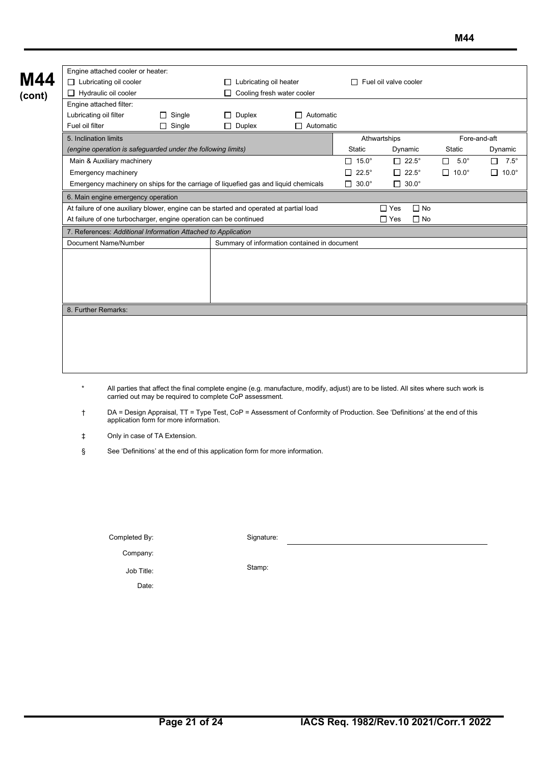| Engine attached cooler or heater:<br>$\Box$ Lubricating oil cooler<br>Hydraulic oil cooler<br>$\Box$ |               | $\Box$ Lubricating oil heater                                     |                            |                   | Fuel oil valve cooler     |                   |                    |                                   |  |
|------------------------------------------------------------------------------------------------------|---------------|-------------------------------------------------------------------|----------------------------|-------------------|---------------------------|-------------------|--------------------|-----------------------------------|--|
|                                                                                                      |               |                                                                   | Cooling fresh water cooler |                   |                           |                   |                    |                                   |  |
| Engine attached filter:                                                                              |               |                                                                   |                            |                   |                           |                   |                    |                                   |  |
| Lubricating oil filter                                                                               | Single        | $\Box$ Duplex                                                     | Automatic                  |                   |                           |                   |                    |                                   |  |
| Fuel oil filter                                                                                      | $\Box$ Single | $\Box$ Duplex                                                     | $\Box$ Automatic           |                   |                           |                   |                    |                                   |  |
| 5. Inclination limits                                                                                |               |                                                                   |                            | Athwartships      |                           |                   |                    | Fore-and-aft<br>Static<br>Dynamic |  |
| (engine operation is safeguarded under the following limits)                                         |               |                                                                   |                            | Static            | Dynamic                   |                   |                    |                                   |  |
| Main & Auxiliary machinery                                                                           |               |                                                                   |                            | $\Box$ 15.0°      | $\Box$ 22.5°              | $5.0^\circ$<br>□  | П<br>$7.5^\circ$   |                                   |  |
| Emergency machinery                                                                                  |               |                                                                   |                            | П<br>$22.5^\circ$ | $\Box$<br>$22.5^\circ$    | $10.0^\circ$<br>П | П.<br>$10.0^\circ$ |                                   |  |
| Emergency machinery on ships for the carriage of liquefied gas and liquid chemicals                  |               |                                                                   |                            | $\Box$ 30.0°      | $\Box$ 30.0 $^{\circ}$    |                   |                    |                                   |  |
| 6. Main engine emergency operation                                                                   |               |                                                                   |                            |                   |                           |                   |                    |                                   |  |
| At failure of one auxiliary blower, engine can be started and operated at partial load               |               |                                                                   |                            |                   | $\Box$ No<br>$\Gamma$ Yes |                   |                    |                                   |  |
|                                                                                                      |               | At failure of one turbocharger, engine operation can be continued |                            |                   | $\Box$ Yes<br>$\Box$ No   |                   |                    |                                   |  |
| 7. References: Additional Information Attached to Application                                        |               |                                                                   |                            |                   |                           |                   |                    |                                   |  |
| Document Name/Number                                                                                 |               | Summary of information contained in document                      |                            |                   |                           |                   |                    |                                   |  |
|                                                                                                      |               |                                                                   |                            |                   |                           |                   |                    |                                   |  |
|                                                                                                      |               |                                                                   |                            |                   |                           |                   |                    |                                   |  |
|                                                                                                      |               |                                                                   |                            |                   |                           |                   |                    |                                   |  |
|                                                                                                      |               |                                                                   |                            |                   |                           |                   |                    |                                   |  |
|                                                                                                      |               |                                                                   |                            |                   |                           |                   |                    |                                   |  |
| 8. Further Remarks:                                                                                  |               |                                                                   |                            |                   |                           |                   |                    |                                   |  |
|                                                                                                      |               |                                                                   |                            |                   |                           |                   |                    |                                   |  |
|                                                                                                      |               |                                                                   |                            |                   |                           |                   |                    |                                   |  |
|                                                                                                      |               |                                                                   |                            |                   |                           |                   |                    |                                   |  |
|                                                                                                      |               |                                                                   |                            |                   |                           |                   |                    |                                   |  |
|                                                                                                      |               |                                                                   |                            |                   |                           |                   |                    |                                   |  |

- \* All parties that affect the final complete engine (e.g. manufacture, modify, adjust) are to be listed. All sites where such work is carried out may be required to complete CoP assessment.
- † DA = Design Appraisal, TT = Type Test, CoP = Assessment of Conformity of Production. See 'Definitions' at the end of this application form for more information.
- ‡ Only in case of TA Extension.

Date:

§ See 'Definitions' at the end of this application form for more information.

| Completed By: | Signature: |
|---------------|------------|
| Company:      |            |
| Job Title:    | Stamp:     |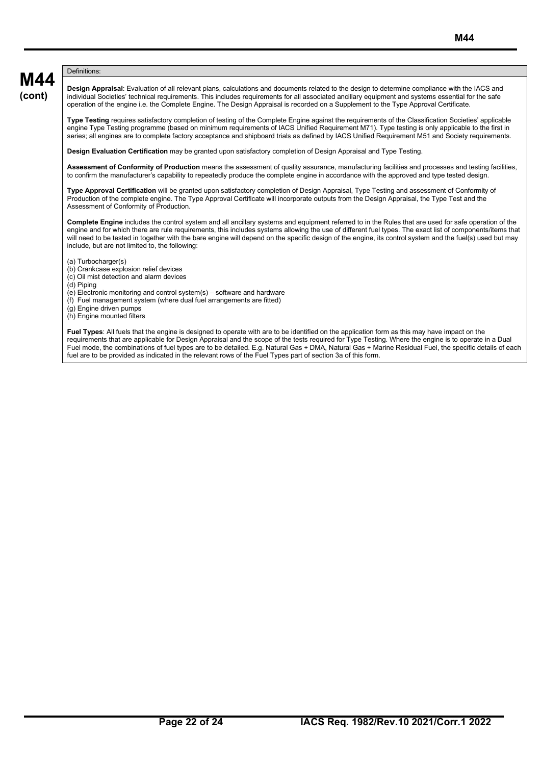#### **M44** Definitions:

**(cont)**

**Design Appraisal**: Evaluation of all relevant plans, calculations and documents related to the design to determine compliance with the IACS and individual Societies' technical requirements. This includes requirements for all associated ancillary equipment and systems essential for the safe operation of the engine i.e. the Complete Engine. The Design Appraisal is recorded on a Supplement to the Type Approval Certificate.

**Type Testing** requires satisfactory completion of testing of the Complete Engine against the requirements of the Classification Societies' applicable engine Type Testing programme (based on minimum requirements of IACS Unified Requirement M71). Type testing is only applicable to the first in series; all engines are to complete factory acceptance and shipboard trials as defined by IACS Unified Requirement M51 and Society requirements.

**Design Evaluation Certification** may be granted upon satisfactory completion of Design Appraisal and Type Testing.

**Assessment of Conformity of Production** means the assessment of quality assurance, manufacturing facilities and processes and testing facilities, to confirm the manufacturer's capability to repeatedly produce the complete engine in accordance with the approved and type tested design.

**Type Approval Certification** will be granted upon satisfactory completion of Design Appraisal, Type Testing and assessment of Conformity of Production of the complete engine. The Type Approval Certificate will incorporate outputs from the Design Appraisal, the Type Test and the Assessment of Conformity of Production.

**Complete Engine** includes the control system and all ancillary systems and equipment referred to in the Rules that are used for safe operation of the engine and for which there are rule requirements, this includes systems allowing the use of different fuel types. The exact list of components/items that will need to be tested in together with the bare engine will depend on the specific design of the engine, its control system and the fuel(s) used but may include, but are not limited to, the following:

- (a) Turbocharger(s)
- (b) Crankcase explosion relief devices
- (c) Oil mist detection and alarm devices
- (d) Piping
- (e) Electronic monitoring and control system(s) software and hardware
- (f) Fuel management system (where dual fuel arrangements are fitted)
- (g) Engine driven pumps

(h) Engine mounted filters

**Fuel Types**: All fuels that the engine is designed to operate with are to be identified on the application form as this may have impact on the requirements that are applicable for Design Appraisal and the scope of the tests required for Type Testing. Where the engine is to operate in a Dual Fuel mode, the combinations of fuel types are to be detailed. E.g. Natural Gas + DMA, Natural Gas + Marine Residual Fuel, the specific details of each fuel are to be provided as indicated in the relevant rows of the Fuel Types part of section 3a of this form.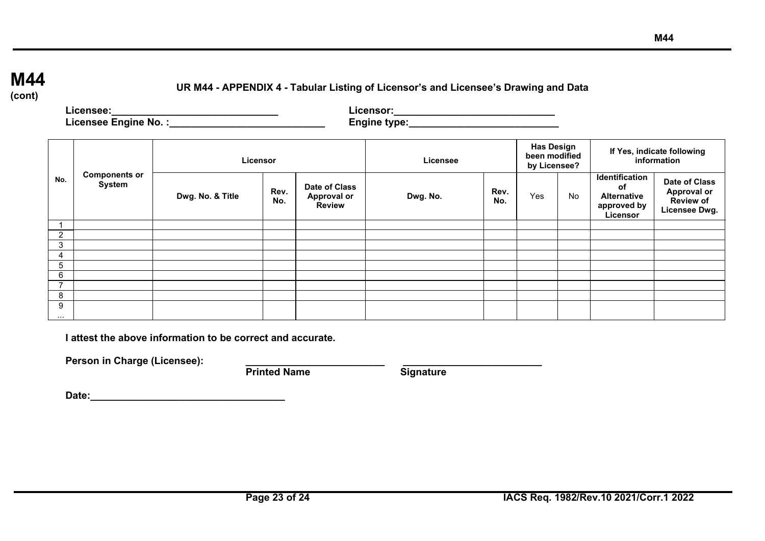## **M44**

**(cont)**

## **UR M44 - APPENDIX 4 - Tabular Listing of Licensor's and Licensee's Drawing and Data**

**Licensee:\_\_\_\_\_\_\_\_\_\_\_\_\_\_\_\_\_\_\_\_\_\_\_\_\_\_\_\_\_\_ Licensor:\_\_\_\_\_\_\_\_\_\_\_\_\_\_\_\_\_\_\_\_\_\_\_\_\_\_\_\_\_ Licensee Engine No. :\_\_\_\_\_\_\_\_\_\_\_\_\_\_\_\_\_\_\_\_\_\_\_\_\_\_\_\_ Engine type:\_\_\_\_\_\_\_\_\_\_\_\_\_\_\_\_\_\_\_\_\_\_\_\_\_\_\_**

| No.            |                                       | Licensor         |             |                                                      | Licensee |             | <b>Has Design</b><br>been modified<br>by Licensee? |           | If Yes, indicate following<br>information                                    |                                                                          |
|----------------|---------------------------------------|------------------|-------------|------------------------------------------------------|----------|-------------|----------------------------------------------------|-----------|------------------------------------------------------------------------------|--------------------------------------------------------------------------|
|                | <b>Components or</b><br><b>System</b> | Dwg. No. & Title | Rev.<br>No. | Date of Class<br><b>Approval or</b><br><b>Review</b> | Dwg. No. | Rev.<br>No. | Yes                                                | <b>No</b> | Identification<br><b>of</b><br><b>Alternative</b><br>approved by<br>Licensor | <b>Date of Class</b><br><b>Approval or</b><br>Review of<br>Licensee Dwg. |
|                |                                       |                  |             |                                                      |          |             |                                                    |           |                                                                              |                                                                          |
| 2              |                                       |                  |             |                                                      |          |             |                                                    |           |                                                                              |                                                                          |
| 3              |                                       |                  |             |                                                      |          |             |                                                    |           |                                                                              |                                                                          |
| 4              |                                       |                  |             |                                                      |          |             |                                                    |           |                                                                              |                                                                          |
| 5              |                                       |                  |             |                                                      |          |             |                                                    |           |                                                                              |                                                                          |
| 6              |                                       |                  |             |                                                      |          |             |                                                    |           |                                                                              |                                                                          |
| $\overline{7}$ |                                       |                  |             |                                                      |          |             |                                                    |           |                                                                              |                                                                          |
| 8              |                                       |                  |             |                                                      |          |             |                                                    |           |                                                                              |                                                                          |
| 9<br>$\cdots$  |                                       |                  |             |                                                      |          |             |                                                    |           |                                                                              |                                                                          |

**I attest the above information to be correct and accurate.**

Person in Charge (Licensee): <br>Printed Name **Signature** Signature

**Printed Name** 

**Date:\_\_\_\_\_\_\_\_\_\_\_\_\_\_\_\_\_\_\_\_\_\_\_\_\_\_\_\_\_\_\_\_\_\_\_**